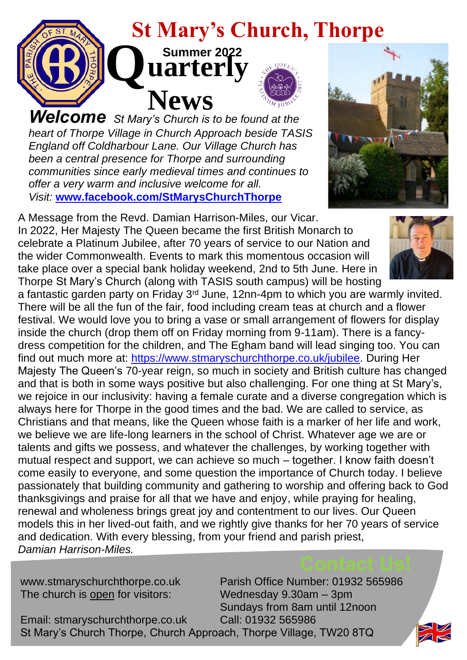

*Welcome St Mary's Church is to be found at the heart of Thorpe Village in Church Approach beside TASIS England off Coldharbour Lane. Our Village Church has been a central presence for Thorpe and surrounding communities since early medieval times and continues to offer a very warm and inclusive welcome for all. Visit:* **[www.facebook.com/StMarysChurchThorpe](https://www.facebook.com/StMarysChurchThorpe)**

A Message from the Revd. Damian Harrison-Miles, our Vicar. In 2022, Her Majesty The Queen became the first British Monarch to celebrate a Platinum Jubilee, after 70 years of service to our Nation and the wider Commonwealth. Events to mark this momentous occasion will take place over a special bank holiday weekend, 2nd to 5th June. Here in Thorpe St Mary's Church (along with TASIS south campus) will be hosting

a fantastic garden party on Friday  $3<sup>rd</sup>$  June, 12nn-4pm to which you are warmly invited. There will be all the fun of the fair, food including cream teas at church and a flower festival. We would love you to bring a vase or small arrangement of flowers for display inside the church (drop them off on Friday morning from 9-11am). There is a fancydress competition for the children, and The Egham band will lead singing too. You can find out much more at: [https://www.stmaryschurchthorpe.co.uk/jubilee.](https://www.stmaryschurchthorpe.co.uk/jubilee) During Her Majesty The Queen's 70-year reign, so much in society and British culture has changed and that is both in some ways positive but also challenging. For one thing at St Mary's, we rejoice in our inclusivity: having a female curate and a diverse congregation which is always here for Thorpe in the good times and the bad. We are called to service, as Christians and that means, like the Queen whose faith is a marker of her life and work, we believe we are life-long learners in the school of Christ. Whatever age we are or talents and gifts we possess, and whatever the challenges, by working together with mutual respect and support, we can achieve so much – together. I know faith doesn't come easily to everyone, and some question the importance of Church today. I believe passionately that building community and gathering to worship and offering back to God thanksgivings and praise for all that we have and enjoy, while praying for healing, renewal and wholeness brings great joy and contentment to our lives. Our Queen models this in her lived-out faith, and we rightly give thanks for her 70 years of service and dedication. With every blessing, from your friend and parish priest, *Damian Harrison-Miles.*

The church is open for visitors: Wednesday 9.30am – 3pm

www.stmaryschurchthorpe.co.uk Parish Office Number: 01932 565986 Sundays from 8am until 12noon

Email: stmaryschurchthorpe.co.uk Call: 01932 565986 St Mary's Church Thorpe, Church Approach, Thorpe Village, TW20 8TQ

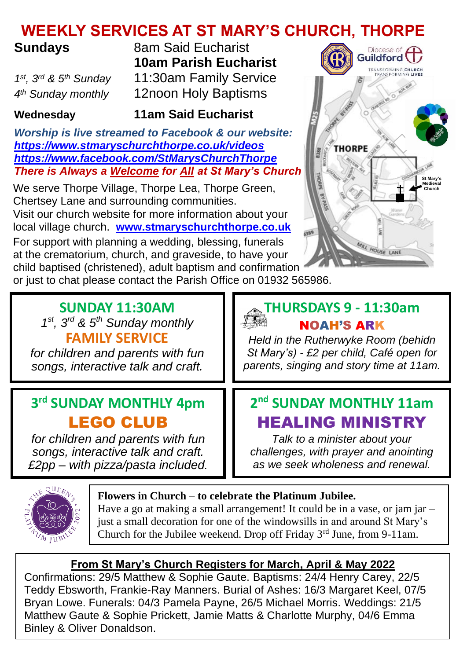## **WEEKLY SERVICES AT ST MARY'S CHURCH, THORPE**

## **Sundays**

 $1^{st}$ ,  $3^{rd}$  &  $5^{th}$  Sundav 4<sup>th</sup> Sunday monthly

**8am Said Eucharist 10am Parish Eucharist** *st, 3rd & 5th Sunday* 11:30am Family Service *th Sunday monthly* 12noon Holy Baptisms

## **Wednesday 11am Said Eucharist**

*Worship is live streamed to Facebook & our website: <https://www.stmaryschurchthorpe.co.uk/videos> <https://www.facebook.com/StMarysChurchThorpe> There is Always a Welcome for All at St Mary's Church*

We serve Thorpe Village, Thorpe Lea, Thorpe Green, Chertsey Lane and surrounding communities. Visit our church website for more information about your local village church. **[www.stmaryschurchthorpe.co.uk](http://www.stmaryschurchthorpe.co.uk/)**

For support with planning a wedding, blessing, funerals at the crematorium, church, and graveside, to have your child baptised (christened), adult baptism and confirmation

or just to chat please contact the Parish Office on 01932 565986.

#### **SUNDAY 11:30AM**  *1 st, 3rd & 5th Sunday monthly* **FAMILY SERVICE**

*for children and parents with fun songs, interactive talk and craft.* 

## **3 rd SUNDAY MONTHLY 4pm** LEGO CLUB

*for children and parents with fun songs, interactive talk and craft. £2pp – with pizza/pasta included.*

## **THURSDAYS 9 - 11:30am** NOAH'S ARK

*Held in the Rutherwyke Room (behidn St Mary's) - £2 per child, Café open for parents, singing and story time at 11am.* 

## **2 nd SUNDAY MONTHLY 11am** HEALING MINISTRY

*Talk to a minister about your challenges, with prayer and anointing as we seek wholeness and renewal.*



#### **Flowers in Church – to celebrate the Platinum Jubilee.**

Have a go at making a small arrangement! It could be in a vase, or jam jar  $$ just a small decoration for one of the windowsills in and around St Mary's Church for the Jubilee weekend. Drop off Friday 3rd June, from 9-11am.

### **From St Mary's Church Registers for March, April & May 2022**

Confirmations: 29/5 Matthew & Sophie Gaute. Baptisms: 24/4 Henry Carey, 22/5 Teddy Ebsworth, Frankie-Ray Manners. Burial of Ashes: 16/3 Margaret Keel, 07/5 Bryan Lowe. Funerals: 04/3 Pamela Payne, 26/5 Michael Morris. Weddings: 21/5 Matthew Gaute & Sophie Prickett, Jamie Matts & Charlotte Murphy, 04/6 Emma Binley & Oliver Donaldson.

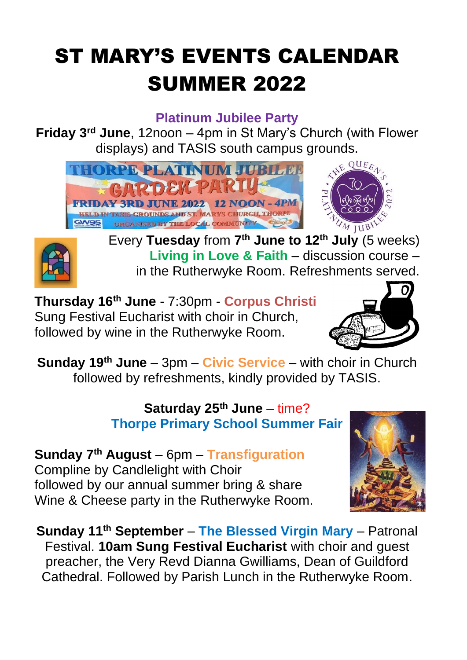# ST MARY'S EVENTS CALENDAR SUMMER 2022

## **Platinum Jubilee Party**

**Friday 3rd June**, 12noon – 4pm in St Mary's Church (with Flower displays) and TASIS south campus grounds.





Every **Tuesday** from **7 th June to 12th July** (5 weeks) **Living in Love & Faith** – discussion course – in the Rutherwyke Room. Refreshments served.

**Thursday 16th June** - 7:30pm - **Corpus Christi** Sung Festival Eucharist with choir in Church, followed by wine in the Rutherwyke Room.



**Sunday 19th June** – 3pm – **Civic Service** – with choir in Church followed by refreshments, kindly provided by TASIS.

## **Saturday 25th June** – time? **Thorpe Primary School Summer Fair**

**Sunday 7th August** – 6pm – **Transfiguration** Compline by Candlelight with Choir followed by our annual summer bring & share Wine & Cheese party in the Rutherwyke Room.



**Sunday 11th September** – **The Blessed Virgin Mary** – Patronal Festival. **10am Sung Festival Eucharist** with choir and guest preacher, the Very Revd Dianna Gwilliams, Dean of Guildford Cathedral. Followed by Parish Lunch in the Rutherwyke Room.